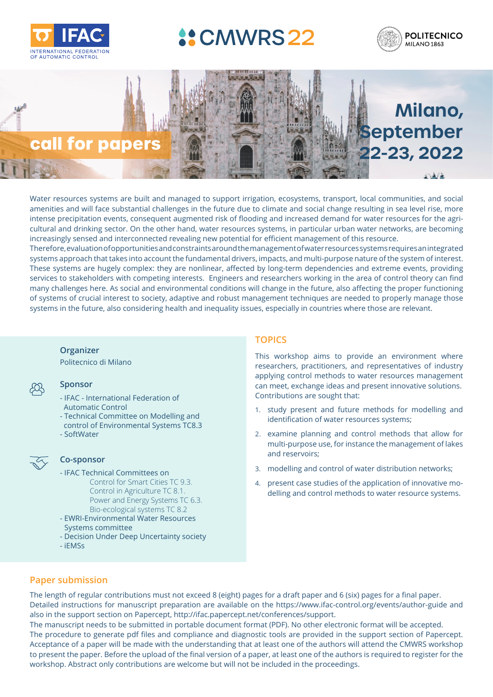

**• NOC Chair**

## **4: CMWRS 22** opon Linear Parameter Vary



**Milano,** 

**September** 

**22-23, 2022**

# **call for papers**

Organizing Committee

CALL FOR PAPERS

*The Organising Committee has the pleasure to invite you to participate in the 4th IFAC Workshop*  amenities and will face substantial challenges in the future due to climate and social change resulting in sea level rise, more newere presepted of CPUs, conception algorithes had a mediately since the cases and the field of LPV systems co<br>cultural and drinking sector. On the other hand, water resources systems, in particular urban water networks, increasingly sensed and interconnected revealing new potential for efficient management of this resource. Water resources systems are built and managed to support irrigation, ecosystems, transport, local communities, and social ancrinces and will face substantial chailenges in the future due to climate and social charge resulting in sea lever rise, more<br>intense precipitation events, consequent augmented risk of flooding and increased demand for w

Therefore, evaluation of opportunities and constraints around the management of water resources systems requires an integrated systems approach that takes into account the fundamental drivers, impacts, and multi-purpose nature of the system of interest. These systems are hugely complex: they are nonlinear, affected by long-term dependencies and extreme events, providing services to stakeholders with competing interests. Engineers and researchers working in the area of control theory can find many challenges here. As social and environmental conditions will change in the future, also affecting the proper functioning of systems of crucial interest to society, adaptive and robust management techniques are needed to properly manage those systems in the future, also considering health and inequality issues, especially in countries where those are relevant.

#### **Organizer**

**•Industry Chair** Politecnico di Milano

# **Sponsor**

- Prince Pinternational<br>Automatic Control - IFAC - International Federation of
- Technical Committee on Modelling and
	- control of Environmental Systems TC8.3
- Sponsoring Technical Committees SoftWater



**• Editor**

#### $\overline{\mathcal{L}}$  **Co-sponsor**  $\chi$  as spain.

- TC 2.5 Robust Control IFAC Technical Committees on Important Dates Bio-ecological systems TC 8.2 Control for Smart Cities TC 9.3. Control in Agriculture TC 8.1. Power and Energy Systems TC 6.3.
- **• January 19, 2021:** Draft paper EWRI-Environmental Water Resources systems committee
	- 4. *Control of LPV systems:* robust control, optimal control, predictive control, con-- Decision Under Deep Uncertainty society
- **• March 1, 2021:** Acceptance iEMSs

#### world to participate either in-person or online. The event will be held at the Politecni-Politecni-Politecni-P<br>The event will be held at the Politecni-Politecni-Politecni-Politecni-Politecni-Politecni-Politecni-Politecnico di Milano campus in Milano campus in Milano campus in Milano campus in Milano center and the most center and the most center and the most center and the most center and the most center and the most center and the most c **TOPICS**

This workshop aims to provide an environment where **Ethanming with a vibe that balances of industry** researchers, practitioners, and representatives of industry applying control methods to water resources management can meet, exchange ideas and present innovative solutions. Linate or Orio Contributions are sought that:

- <sup>id</sup> identification of water resources systems;<br>.3 1. study present and future methods for modelling and
- examine planning and control methods that allow for tion and control. In each of the important keywords include:  $\frac{m}{\sqrt{2}}$  multi-purpose use, for instance the management of lakes 1. *Modelling and Identification of LPV systems.* In particular, how to obtain LPV modand reservoirs;
	- els for nonlinear systems, sampled-data systems, sampled-data systems, sampled-data systems, sampled-data systems, sampled-data systems, sampled-data systems, sampled-data systems, sampled-data systems, sampled-data system
- systems with saturation systems with systems, present case studies of the application of innovative mo-2. *Analysis of LPV systems:* stability and stabilization, robustness issues, geometric delling and control methods to water resource systems. approaches, structural analysis, etc.

# **Paper submission**

**COPYRIGHT COPYRIGHT CONDITIONS: All publication** material submitted for presentation at an IFAC-sponsored meeting meeting meeting meeting meeting meeting meeting meeting meeting meeting meeting meeting meeting meeting m Detailed instructions for manuscript preparation are available on the https://www.ifac-control.org/events/author-guide and also in the support section on Papercept, http://ifac.papercept.net/conferences/support. abide by the highest standard of ethical behavior in the review process as explained on the Elsevier webpage *(https://www.* The length of regular contributions must not exceed 8 (eight) pages for a draft paper and 6 (six) pages for a final paper.

The manuscript needs to be submitted in portable document format (PDF). No other electronic format will be accepted. The procedure to generate pdf files and compliance and diagnostic tools are provided in the support section of Papercept. dexate presenting that at least and of the evithers will attend the CNWMPC werkender Acceptance of a paper will be made with the understanding that at least one of the authors will attend the CMWRS workshop to present the paper. Before the upload of the final version of a paper, at least one of the authors is required to register for the ame but will not be included in the preceedings workshop. Abstract only contributions are welcome but will not be included in the proceedings.<br>'